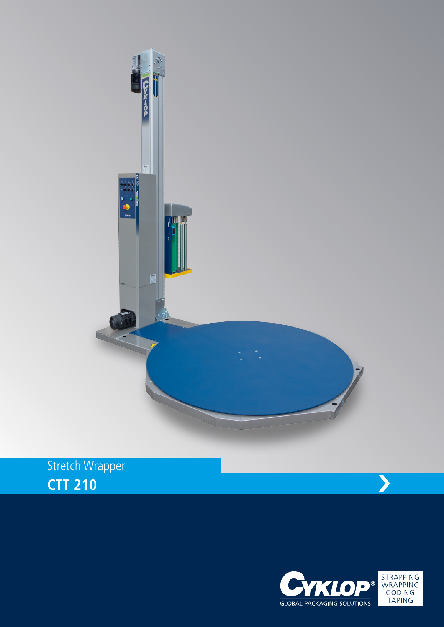